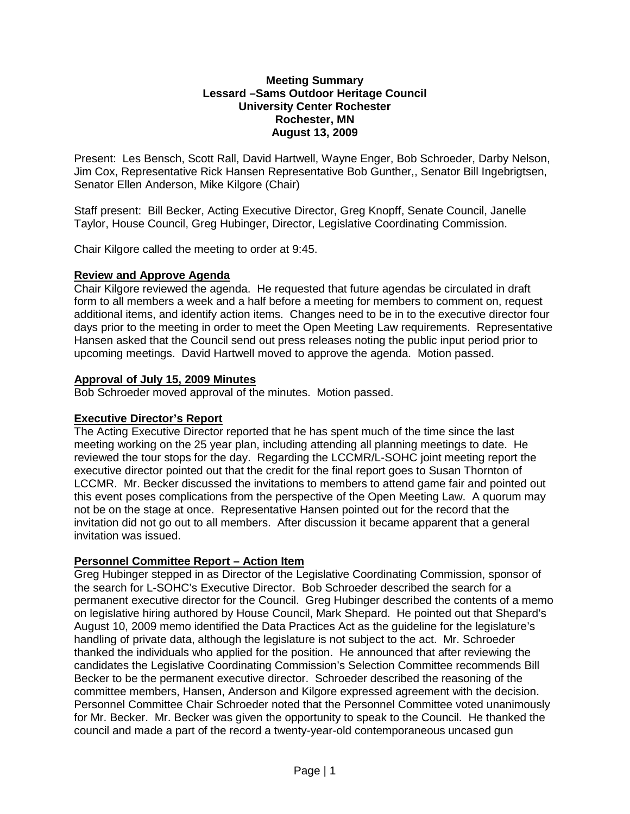#### **Meeting Summary Lessard –Sams Outdoor Heritage Council University Center Rochester Rochester, MN August 13, 2009**

Present: Les Bensch, Scott Rall, David Hartwell, Wayne Enger, Bob Schroeder, Darby Nelson, Jim Cox, Representative Rick Hansen Representative Bob Gunther,, Senator Bill Ingebrigtsen, Senator Ellen Anderson, Mike Kilgore (Chair)

Staff present: Bill Becker, Acting Executive Director, Greg Knopff, Senate Council, Janelle Taylor, House Council, Greg Hubinger, Director, Legislative Coordinating Commission.

Chair Kilgore called the meeting to order at 9:45.

#### **Review and Approve Agenda**

Chair Kilgore reviewed the agenda. He requested that future agendas be circulated in draft form to all members a week and a half before a meeting for members to comment on, request additional items, and identify action items. Changes need to be in to the executive director four days prior to the meeting in order to meet the Open Meeting Law requirements. Representative Hansen asked that the Council send out press releases noting the public input period prior to upcoming meetings. David Hartwell moved to approve the agenda. Motion passed.

#### **Approval of July 15, 2009 Minutes**

Bob Schroeder moved approval of the minutes. Motion passed.

## **Executive Director's Report**

The Acting Executive Director reported that he has spent much of the time since the last meeting working on the 25 year plan, including attending all planning meetings to date. He reviewed the tour stops for the day. Regarding the LCCMR/L-SOHC joint meeting report the executive director pointed out that the credit for the final report goes to Susan Thornton of LCCMR. Mr. Becker discussed the invitations to members to attend game fair and pointed out this event poses complications from the perspective of the Open Meeting Law. A quorum may not be on the stage at once. Representative Hansen pointed out for the record that the invitation did not go out to all members. After discussion it became apparent that a general invitation was issued.

## **Personnel Committee Report – Action Item**

Greg Hubinger stepped in as Director of the Legislative Coordinating Commission, sponsor of the search for L-SOHC's Executive Director. Bob Schroeder described the search for a permanent executive director for the Council. Greg Hubinger described the contents of a memo on legislative hiring authored by House Council, Mark Shepard. He pointed out that Shepard's August 10, 2009 memo identified the Data Practices Act as the guideline for the legislature's handling of private data, although the legislature is not subject to the act. Mr. Schroeder thanked the individuals who applied for the position. He announced that after reviewing the candidates the Legislative Coordinating Commission's Selection Committee recommends Bill Becker to be the permanent executive director. Schroeder described the reasoning of the committee members, Hansen, Anderson and Kilgore expressed agreement with the decision. Personnel Committee Chair Schroeder noted that the Personnel Committee voted unanimously for Mr. Becker. Mr. Becker was given the opportunity to speak to the Council. He thanked the council and made a part of the record a twenty-year-old contemporaneous uncased gun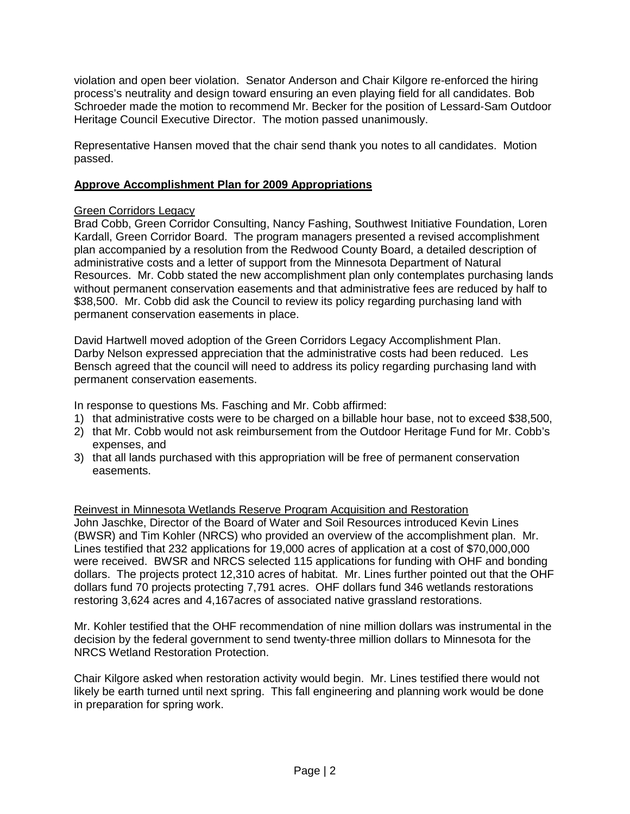violation and open beer violation. Senator Anderson and Chair Kilgore re-enforced the hiring process's neutrality and design toward ensuring an even playing field for all candidates. Bob Schroeder made the motion to recommend Mr. Becker for the position of Lessard-Sam Outdoor Heritage Council Executive Director. The motion passed unanimously.

Representative Hansen moved that the chair send thank you notes to all candidates. Motion passed.

# **Approve Accomplishment Plan for 2009 Appropriations**

## Green Corridors Legacy

Brad Cobb, Green Corridor Consulting, Nancy Fashing, Southwest Initiative Foundation, Loren Kardall, Green Corridor Board. The program managers presented a revised accomplishment plan accompanied by a resolution from the Redwood County Board, a detailed description of administrative costs and a letter of support from the Minnesota Department of Natural Resources. Mr. Cobb stated the new accomplishment plan only contemplates purchasing lands without permanent conservation easements and that administrative fees are reduced by half to \$38,500. Mr. Cobb did ask the Council to review its policy regarding purchasing land with permanent conservation easements in place.

David Hartwell moved adoption of the Green Corridors Legacy Accomplishment Plan. Darby Nelson expressed appreciation that the administrative costs had been reduced. Les Bensch agreed that the council will need to address its policy regarding purchasing land with permanent conservation easements.

In response to questions Ms. Fasching and Mr. Cobb affirmed:

- 1) that administrative costs were to be charged on a billable hour base, not to exceed \$38,500,
- 2) that Mr. Cobb would not ask reimbursement from the Outdoor Heritage Fund for Mr. Cobb's expenses, and
- 3) that all lands purchased with this appropriation will be free of permanent conservation easements.

## Reinvest in Minnesota Wetlands Reserve Program Acquisition and Restoration

John Jaschke, Director of the Board of Water and Soil Resources introduced Kevin Lines (BWSR) and Tim Kohler (NRCS) who provided an overview of the accomplishment plan. Mr. Lines testified that 232 applications for 19,000 acres of application at a cost of \$70,000,000 were received. BWSR and NRCS selected 115 applications for funding with OHF and bonding dollars. The projects protect 12,310 acres of habitat. Mr. Lines further pointed out that the OHF dollars fund 70 projects protecting 7,791 acres. OHF dollars fund 346 wetlands restorations restoring 3,624 acres and 4,167acres of associated native grassland restorations.

Mr. Kohler testified that the OHF recommendation of nine million dollars was instrumental in the decision by the federal government to send twenty-three million dollars to Minnesota for the NRCS Wetland Restoration Protection.

Chair Kilgore asked when restoration activity would begin. Mr. Lines testified there would not likely be earth turned until next spring. This fall engineering and planning work would be done in preparation for spring work.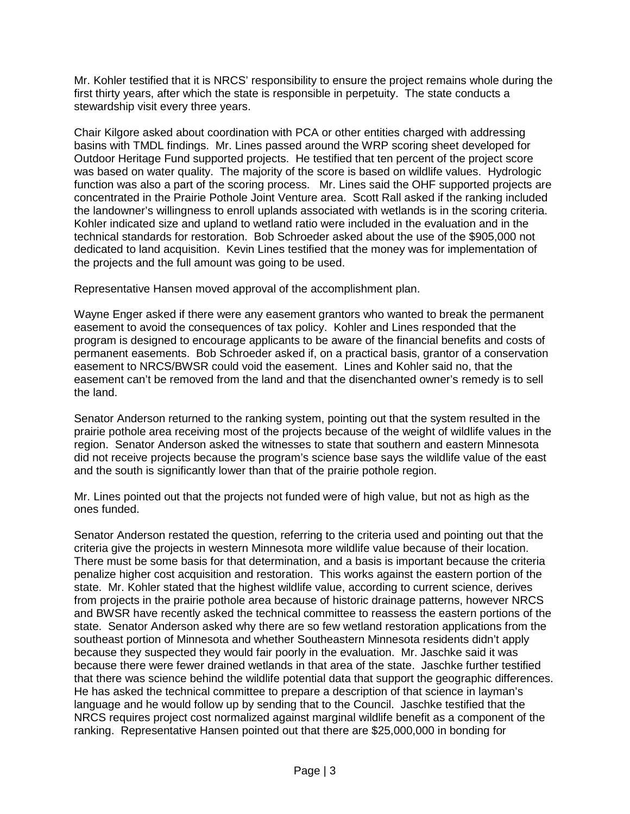Mr. Kohler testified that it is NRCS' responsibility to ensure the project remains whole during the first thirty years, after which the state is responsible in perpetuity. The state conducts a stewardship visit every three years.

Chair Kilgore asked about coordination with PCA or other entities charged with addressing basins with TMDL findings. Mr. Lines passed around the WRP scoring sheet developed for Outdoor Heritage Fund supported projects. He testified that ten percent of the project score was based on water quality. The majority of the score is based on wildlife values. Hydrologic function was also a part of the scoring process. Mr. Lines said the OHF supported projects are concentrated in the Prairie Pothole Joint Venture area. Scott Rall asked if the ranking included the landowner's willingness to enroll uplands associated with wetlands is in the scoring criteria. Kohler indicated size and upland to wetland ratio were included in the evaluation and in the technical standards for restoration. Bob Schroeder asked about the use of the \$905,000 not dedicated to land acquisition. Kevin Lines testified that the money was for implementation of the projects and the full amount was going to be used.

Representative Hansen moved approval of the accomplishment plan.

Wayne Enger asked if there were any easement grantors who wanted to break the permanent easement to avoid the consequences of tax policy. Kohler and Lines responded that the program is designed to encourage applicants to be aware of the financial benefits and costs of permanent easements. Bob Schroeder asked if, on a practical basis, grantor of a conservation easement to NRCS/BWSR could void the easement. Lines and Kohler said no, that the easement can't be removed from the land and that the disenchanted owner's remedy is to sell the land.

Senator Anderson returned to the ranking system, pointing out that the system resulted in the prairie pothole area receiving most of the projects because of the weight of wildlife values in the region. Senator Anderson asked the witnesses to state that southern and eastern Minnesota did not receive projects because the program's science base says the wildlife value of the east and the south is significantly lower than that of the prairie pothole region.

Mr. Lines pointed out that the projects not funded were of high value, but not as high as the ones funded.

Senator Anderson restated the question, referring to the criteria used and pointing out that the criteria give the projects in western Minnesota more wildlife value because of their location. There must be some basis for that determination, and a basis is important because the criteria penalize higher cost acquisition and restoration. This works against the eastern portion of the state. Mr. Kohler stated that the highest wildlife value, according to current science, derives from projects in the prairie pothole area because of historic drainage patterns, however NRCS and BWSR have recently asked the technical committee to reassess the eastern portions of the state. Senator Anderson asked why there are so few wetland restoration applications from the southeast portion of Minnesota and whether Southeastern Minnesota residents didn't apply because they suspected they would fair poorly in the evaluation. Mr. Jaschke said it was because there were fewer drained wetlands in that area of the state. Jaschke further testified that there was science behind the wildlife potential data that support the geographic differences. He has asked the technical committee to prepare a description of that science in layman's language and he would follow up by sending that to the Council. Jaschke testified that the NRCS requires project cost normalized against marginal wildlife benefit as a component of the ranking. Representative Hansen pointed out that there are \$25,000,000 in bonding for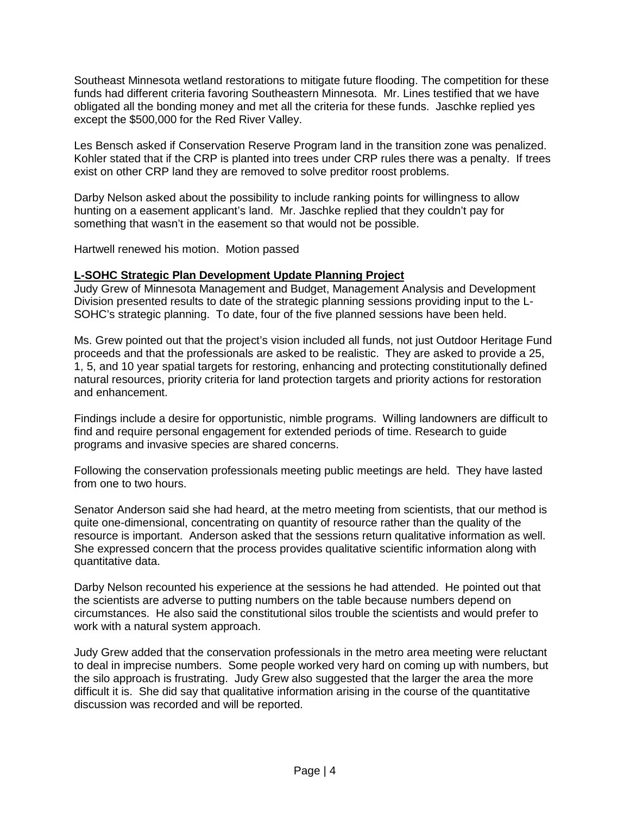Southeast Minnesota wetland restorations to mitigate future flooding. The competition for these funds had different criteria favoring Southeastern Minnesota. Mr. Lines testified that we have obligated all the bonding money and met all the criteria for these funds. Jaschke replied yes except the \$500,000 for the Red River Valley.

Les Bensch asked if Conservation Reserve Program land in the transition zone was penalized. Kohler stated that if the CRP is planted into trees under CRP rules there was a penalty. If trees exist on other CRP land they are removed to solve preditor roost problems.

Darby Nelson asked about the possibility to include ranking points for willingness to allow hunting on a easement applicant's land. Mr. Jaschke replied that they couldn't pay for something that wasn't in the easement so that would not be possible.

Hartwell renewed his motion. Motion passed

## **L-SOHC Strategic Plan Development Update Planning Project**

Judy Grew of Minnesota Management and Budget, Management Analysis and Development Division presented results to date of the strategic planning sessions providing input to the L-SOHC's strategic planning. To date, four of the five planned sessions have been held.

Ms. Grew pointed out that the project's vision included all funds, not just Outdoor Heritage Fund proceeds and that the professionals are asked to be realistic. They are asked to provide a 25, 1, 5, and 10 year spatial targets for restoring, enhancing and protecting constitutionally defined natural resources, priority criteria for land protection targets and priority actions for restoration and enhancement.

Findings include a desire for opportunistic, nimble programs. Willing landowners are difficult to find and require personal engagement for extended periods of time. Research to guide programs and invasive species are shared concerns.

Following the conservation professionals meeting public meetings are held. They have lasted from one to two hours.

Senator Anderson said she had heard, at the metro meeting from scientists, that our method is quite one-dimensional, concentrating on quantity of resource rather than the quality of the resource is important. Anderson asked that the sessions return qualitative information as well. She expressed concern that the process provides qualitative scientific information along with quantitative data.

Darby Nelson recounted his experience at the sessions he had attended. He pointed out that the scientists are adverse to putting numbers on the table because numbers depend on circumstances. He also said the constitutional silos trouble the scientists and would prefer to work with a natural system approach.

Judy Grew added that the conservation professionals in the metro area meeting were reluctant to deal in imprecise numbers. Some people worked very hard on coming up with numbers, but the silo approach is frustrating. Judy Grew also suggested that the larger the area the more difficult it is. She did say that qualitative information arising in the course of the quantitative discussion was recorded and will be reported.